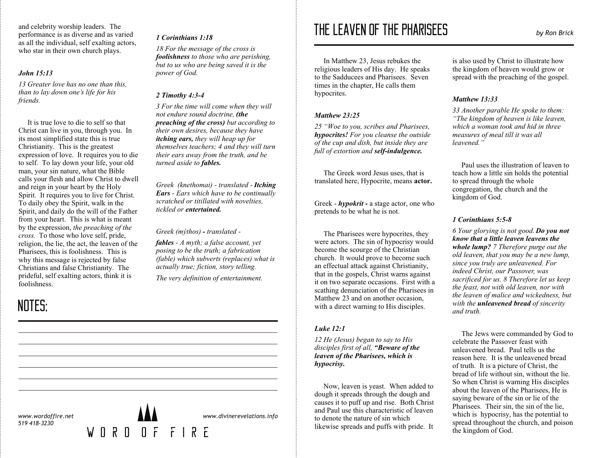and celebrity worship leaders. The performance is as diverse and as varied as all the individual, self exalting actors, who star in their own church plays.

## *John 15:13*

*13 Greater love has no one than this, than to lay down one's life for his friends.*

 It is true love to die to self so that Christ can live in you, through you. In its most simplified state this is true Christianity. This is the greatest expression of love. It requires you to die to self. To lay down your life, your old man, your sin nature, what the Bible calls your flesh and allow Christ to dwell and reign in your heart by the Holy Spirit. It requires you to live for Christ. To daily obey the Spirit, walk in the Spirit, and daily do the will of the Father from your heart. This is what is meant by the expression, *the preaching of the cross.* To those who love self, pride, religion, the lie, the act, the leaven of the Pharisees, this is foolishness. This is why this message is rejected by false Christians and false Christianity. The prideful, self exalting actors, think it is foolishness.

## NOTES;

*www.wordoffire.net 519 418-3230*

#### *1 Corinthians 1:18*

*18 For the message of the cross is foolishness to those who are perishing, but to us who are being saved it is the power of God.*

#### *2 Timothy 4:3-4*

*3 For the time will come when they will not endure sound doctrine, (the preaching of the cross) but according to their own desires, because they have itching ears, they will heap up for themselves teachers; 4 and they will turn their ears away from the truth, and be turned aside to fables.*

*Greek (knethomai) - translated - Itching Ears - Ears which have to be continually scratched or titillated with novelties, tickled or entertained.*

#### *Greek (mýthos) - translated -*

*fables - A myth; a false account, yet posing to be the truth; a fabrication (fable) which subverts (replaces) what is actually true; fiction, story telling.*

*The very definition of entertainment.* 

# THE LEAVEN OF THE PHARISEES *by Ron Brick*

In Matthew 23, Jesus rebukes the religious leaders of His day. He speaks to the Sadducees and Pharisees. Seven times in the chapter, He calls them hypocrites.

## *Matthew 23:25*

*25 "Woe to you, scribes and Pharisees, hypocrites! For you cleanse the outside of the cup and dish, but inside they are full of extortion and self-indulgence.*

 The Greek word Jesus uses, that is translated here, Hypocrite, means **actor.**

Greek - *hypokrit -* a stage actor, one who pretends to be what he is not.

 The Pharisees were hypocrites, they were actors. The sin of hypocrisy would become the scourge of the Christian church. It would prove to become such an effectual attack against Christianity, that in the gospels, Christ warns against it on two separate occasions. First with a scathing denunciation of the Pharisees in Matthew 23 and on another occasion, with a direct warning to His disciples.

## *Luke 12:1*

*12 He (Jesus) began to say to His disciples first of all, "Beware of the leaven of the Pharisees, which is hypocrisy.*

Now, leaven is yeast. When added to dough it spreads through the dough and causes it to puff up and rise. Both Christ and Paul use this characteristic of leaven to denote the nature of sin which likewise spreads and puffs with pride. It

is also used by Christ to illustrate how the kingdom of heaven would grow or spread with the preaching of the gospel.

#### *Matthew 13:33*

*33 Another parable He spoke to them: "The kingdom of heaven is like leaven, which a woman took and hid in three measures of meal till it was all leavened."*

 Paul uses the illustration of leaven to teach how a little sin holds the potential to spread through the whole congregation, the church and the kingdom of God.

#### *1 Corinthians 5:5-8*

*6 Your glorying is not good. Do you not know that a little leaven leavens the whole lump? 7 Therefore purge out the old leaven, that you may be a new lump, since you truly are unleavened. For indeed Christ, our Passover, was sacrificed for us. 8 Therefore let us keep the feast, not with old leaven, nor with the leaven of malice and wickedness, but with the unleavened bread of sincerity and truth.*

The Jews were commanded by God to celebrate the Passover feast with unleavened bread. Paul tells us the reason here. It is the unleavened bread of truth. It is a picture of Christ, the bread of life without sin, without the lie. So when Christ is warning His disciples about the leaven of the Pharisees, He is saying beware of the sin or lie of the Pharisees. Their sin, the sin of the lie, which is hypocrisy, has the potential to spread throughout the church, and poison the kingdom of God.

WORD OF FIRE

*www.divinerevelations.info*